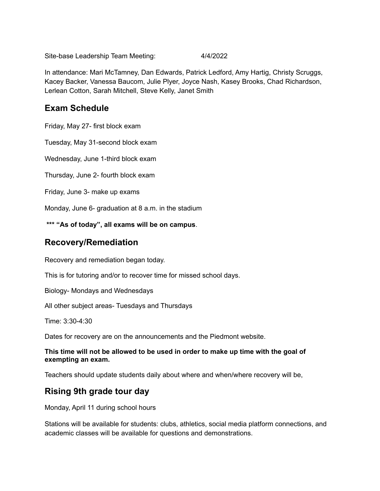Site-base Leadership Team Meeting: 4/4/2022

In attendance: Mari McTamney, Dan Edwards, Patrick Ledford, Amy Hartig, Christy Scruggs, Kacey Backer, Vanessa Baucom, Julie Plyer, Joyce Nash, Kasey Brooks, Chad Richardson, Lerlean Cotton, Sarah Mitchell, Steve Kelly, Janet Smith

## **Exam Schedule**

Friday, May 27- first block exam

Tuesday, May 31-second block exam

Wednesday, June 1-third block exam

Thursday, June 2- fourth block exam

Friday, June 3- make up exams

Monday, June 6- graduation at 8 a.m. in the stadium

**\*\*\* "As of today", all exams will be on campus**.

### **Recovery/Remediation**

Recovery and remediation began today.

This is for tutoring and/or to recover time for missed school days.

Biology- Mondays and Wednesdays

All other subject areas- Tuesdays and Thursdays

Time: 3:30-4:30

Dates for recovery are on the announcements and the Piedmont website.

#### **This time will not be allowed to be used in order to make up time with the goal of exempting an exam.**

Teachers should update students daily about where and when/where recovery will be,

## **Rising 9th grade tour day**

Monday, April 11 during school hours

Stations will be available for students: clubs, athletics, social media platform connections, and academic classes will be available for questions and demonstrations.